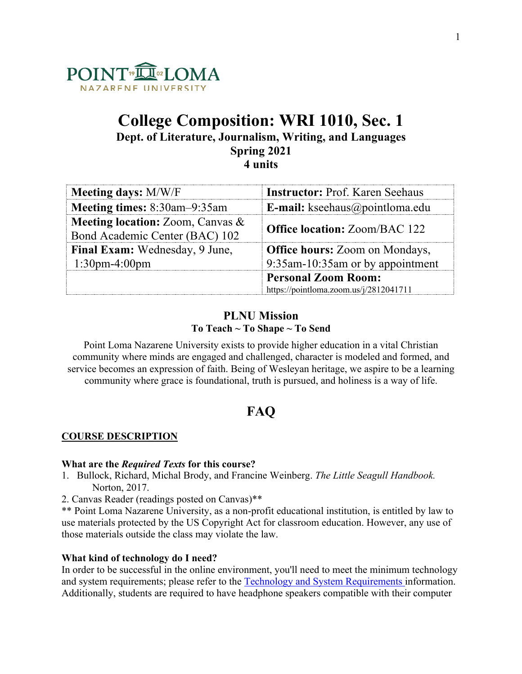

# **College Composition: WRI 1010, Sec. 1 Dept. of Literature, Journalism, Writing, and Languages Spring 2021 4 units**

**Meeting days:** M/W/F **Instructor:** Prof. Karen Seehaus **Meeting times:** 8:30am–9:35am **E-mail:** kseehaus@pointloma.edu **Meeting location:** Zoom, Canvas & Bond Academic Center (BAC) 102 **Office location:** Zoom/BAC 122 **Final Exam:** Wednesday, 9 June, 1:30pm-4:00pm **Office hours:** Zoom on Mondays, 9:35am-10:35am or by appointment **Personal Zoom Room:** https://pointloma.zoom.us/j/2812041711

# **PLNU Mission To Teach ~ To Shape ~ To Send**

Point Loma Nazarene University exists to provide higher education in a vital Christian community where minds are engaged and challenged, character is modeled and formed, and service becomes an expression of faith. Being of Wesleyan heritage, we aspire to be a learning community where grace is foundational, truth is pursued, and holiness is a way of life.

# **FAQ**

# **COURSE DESCRIPTION**

## **What are the** *Required Texts* **for this course?**

- 1. Bullock, Richard, Michal Brody, and Francine Weinberg. *The Little Seagull Handbook.*  Norton, 2017.
- 2. Canvas Reader (readings posted on Canvas)\*\*

\*\* Point Loma Nazarene University, as a non-profit educational institution, is entitled by law to use materials protected by the US Copyright Act for classroom education. However, any use of those materials outside the class may violate the law.

# **What kind of technology do I need?**

In order to be successful in the online environment, you'll need to meet the minimum technology and system requirements; please refer to the Technology and System Requirements information. Additionally, students are required to have headphone speakers compatible with their computer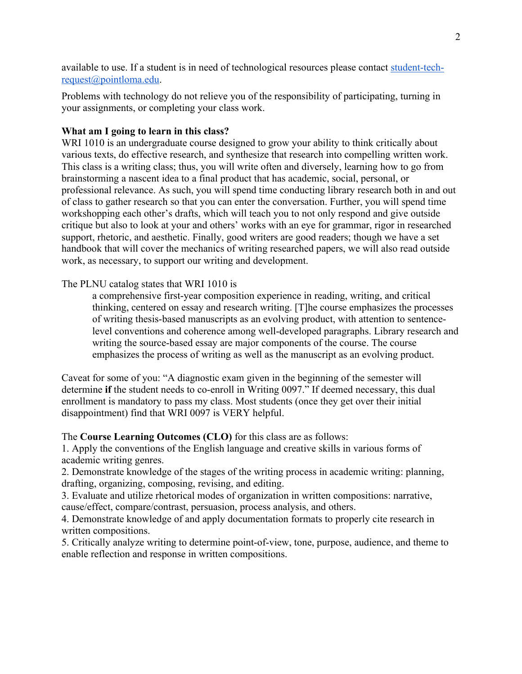available to use. If a student is in need of technological resources please contact student-techrequest@pointloma.edu.

Problems with technology do not relieve you of the responsibility of participating, turning in your assignments, or completing your class work.

# **What am I going to learn in this class?**

WRI 1010 is an undergraduate course designed to grow your ability to think critically about various texts, do effective research, and synthesize that research into compelling written work. This class is a writing class; thus, you will write often and diversely, learning how to go from brainstorming a nascent idea to a final product that has academic, social, personal, or professional relevance. As such, you will spend time conducting library research both in and out of class to gather research so that you can enter the conversation. Further, you will spend time workshopping each other's drafts, which will teach you to not only respond and give outside critique but also to look at your and others' works with an eye for grammar, rigor in researched support, rhetoric, and aesthetic. Finally, good writers are good readers; though we have a set handbook that will cover the mechanics of writing researched papers, we will also read outside work, as necessary, to support our writing and development.

# The PLNU catalog states that WRI 1010 is

a comprehensive first-year composition experience in reading, writing, and critical thinking, centered on essay and research writing. [T]he course emphasizes the processes of writing thesis-based manuscripts as an evolving product, with attention to sentencelevel conventions and coherence among well-developed paragraphs. Library research and writing the source-based essay are major components of the course. The course emphasizes the process of writing as well as the manuscript as an evolving product.

Caveat for some of you: "A diagnostic exam given in the beginning of the semester will determine **if** the student needs to co-enroll in Writing 0097." If deemed necessary, this dual enrollment is mandatory to pass my class. Most students (once they get over their initial disappointment) find that WRI 0097 is VERY helpful.

## The **Course Learning Outcomes (CLO)** for this class are as follows:

1. Apply the conventions of the English language and creative skills in various forms of academic writing genres.

2. Demonstrate knowledge of the stages of the writing process in academic writing: planning, drafting, organizing, composing, revising, and editing.

3. Evaluate and utilize rhetorical modes of organization in written compositions: narrative, cause/effect, compare/contrast, persuasion, process analysis, and others.

4. Demonstrate knowledge of and apply documentation formats to properly cite research in written compositions.

5. Critically analyze writing to determine point-of-view, tone, purpose, audience, and theme to enable reflection and response in written compositions.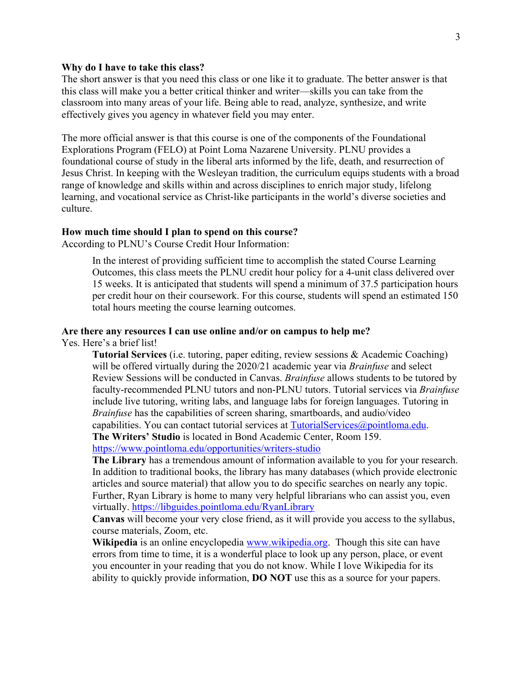### **Why do I have to take this class?**

The short answer is that you need this class or one like it to graduate. The better answer is that this class will make you a better critical thinker and writer—skills you can take from the classroom into many areas of your life. Being able to read, analyze, synthesize, and write effectively gives you agency in whatever field you may enter.

The more official answer is that this course is one of the components of the Foundational Explorations Program (FELO) at Point Loma Nazarene University. PLNU provides a foundational course of study in the liberal arts informed by the life, death, and resurrection of Jesus Christ. In keeping with the Wesleyan tradition, the curriculum equips students with a broad range of knowledge and skills within and across disciplines to enrich major study, lifelong learning, and vocational service as Christ-like participants in the world's diverse societies and culture.

## **How much time should I plan to spend on this course?**

According to PLNU's Course Credit Hour Information:

In the interest of providing sufficient time to accomplish the stated Course Learning Outcomes, this class meets the PLNU credit hour policy for a 4-unit class delivered over 15 weeks. It is anticipated that students will spend a minimum of 37.5 participation hours per credit hour on their coursework. For this course, students will spend an estimated 150 total hours meeting the course learning outcomes.

#### **Are there any resources I can use online and/or on campus to help me?**

Yes. Here's a brief list!

**Tutorial Services** (i.e. tutoring, paper editing, review sessions & Academic Coaching) will be offered virtually during the 2020/21 academic year via *Brainfuse* and select Review Sessions will be conducted in Canvas. *Brainfuse* allows students to be tutored by faculty-recommended PLNU tutors and non-PLNU tutors. Tutorial services via *Brainfuse*  include live tutoring, writing labs, and language labs for foreign languages. Tutoring in *Brainfuse* has the capabilities of screen sharing, smartboards, and audio/video capabilities. You can contact tutorial services at  $TutorialService(\partial_i)$  pointloma.edu. **The Writers' Studio** is located in Bond Academic Center, Room 159.

https://www.pointloma.edu/opportunities/writers-studio

**The Library** has a tremendous amount of information available to you for your research. In addition to traditional books, the library has many databases (which provide electronic articles and source material) that allow you to do specific searches on nearly any topic. Further, Ryan Library is home to many very helpful librarians who can assist you, even virtually. https://libguides.pointloma.edu/RyanLibrary

**Canvas** will become your very close friend, as it will provide you access to the syllabus, course materials, Zoom, etc.

**Wikipedia** is an online encyclopedia www.wikipedia.org. Though this site can have errors from time to time, it is a wonderful place to look up any person, place, or event you encounter in your reading that you do not know. While I love Wikipedia for its ability to quickly provide information, **DO NOT** use this as a source for your papers.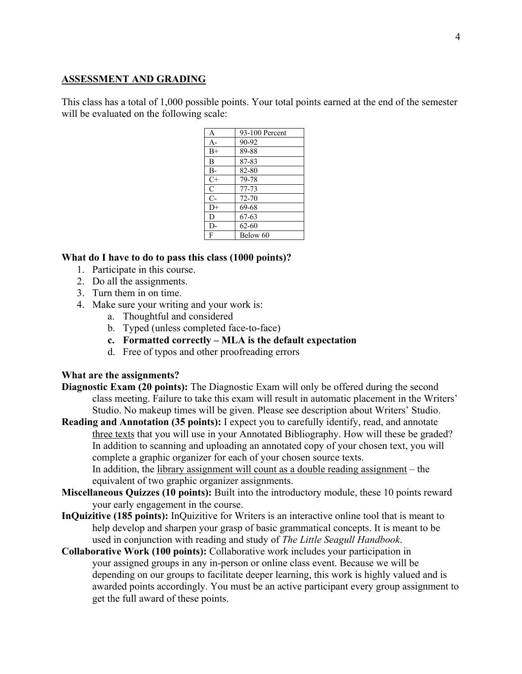## **ASSESSMENT AND GRADING**

This class has a total of 1,000 possible points. Your total points earned at the end of the semester will be evaluated on the following scale:

| A              | 93-100 Percent |
|----------------|----------------|
| $A-$           | 90-92          |
| $B+$           | 89-88          |
| B              | 87-83          |
| $B-$           | 82-80          |
| $C+$           | 79-78          |
| $\mathcal{C}$  | $77 - 73$      |
| $\overline{C}$ | 72-70          |
| $D+$           | 69-68          |
| D              | 67-63          |
| $D-$           | $62 - 60$      |
| $\mathsf{F}$   | Below 60       |
|                |                |

## **What do I have to do to pass this class (1000 points)?**

- 1. Participate in this course.
- 2. Do all the assignments.
- 3. Turn them in on time.
- 4. Make sure your writing and your work is:
	- a. Thoughtful and considered
	- b. Typed (unless completed face-to-face)
	- **c. Formatted correctly – MLA is the default expectation**
	- d. Free of typos and other proofreading errors

## **What are the assignments?**

**Diagnostic Exam (20 points):** The Diagnostic Exam will only be offered during the second class meeting. Failure to take this exam will result in automatic placement in the Writers' Studio. No makeup times will be given. Please see description about Writers' Studio.

**Reading and Annotation (35 points):** I expect you to carefully identify, read, and annotate three texts that you will use in your Annotated Bibliography. How will these be graded? In addition to scanning and uploading an annotated copy of your chosen text, you will complete a graphic organizer for each of your chosen source texts.

In addition, the library assignment will count as a double reading assignment – the equivalent of two graphic organizer assignments.

- **Miscellaneous Quizzes (10 points):** Built into the introductory module, these 10 points reward your early engagement in the course.
- **InQuizitive (185 points):** InQuizitive for Writers is an interactive online tool that is meant to help develop and sharpen your grasp of basic grammatical concepts. It is meant to be used in conjunction with reading and study of *The Little Seagull Handbook*.
- **Collaborative Work (100 points):** Collaborative work includes your participation in your assigned groups in any in-person or online class event. Because we will be depending on our groups to facilitate deeper learning, this work is highly valued and is awarded points accordingly. You must be an active participant every group assignment to get the full award of these points.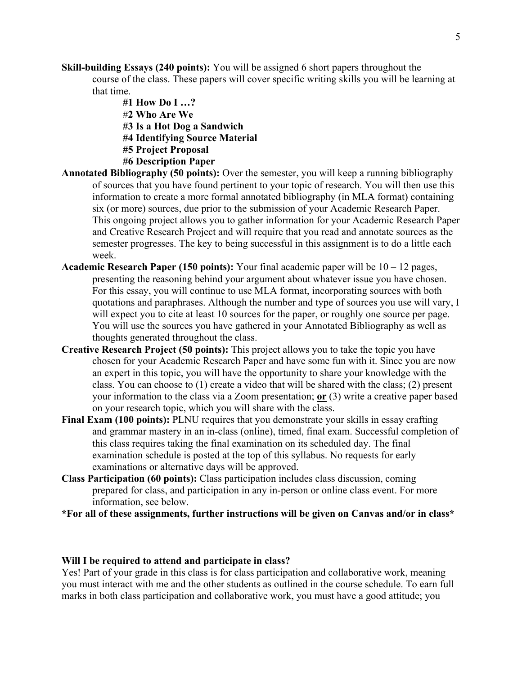**Skill-building Essays (240 points):** You will be assigned 6 short papers throughout the course of the class. These papers will cover specific writing skills you will be learning at that time.

> **#1 How Do I …?** #**2 Who Are We #3 Is a Hot Dog a Sandwich #4 Identifying Source Material #5 Project Proposal #6 Description Paper**

- **Annotated Bibliography (50 points):** Over the semester, you will keep a running bibliography of sources that you have found pertinent to your topic of research. You will then use this information to create a more formal annotated bibliography (in MLA format) containing six (or more) sources, due prior to the submission of your Academic Research Paper. This ongoing project allows you to gather information for your Academic Research Paper and Creative Research Project and will require that you read and annotate sources as the semester progresses. The key to being successful in this assignment is to do a little each week.
- **Academic Research Paper (150 points):** Your final academic paper will be 10 12 pages, presenting the reasoning behind your argument about whatever issue you have chosen. For this essay, you will continue to use MLA format, incorporating sources with both quotations and paraphrases. Although the number and type of sources you use will vary, I will expect you to cite at least 10 sources for the paper, or roughly one source per page. You will use the sources you have gathered in your Annotated Bibliography as well as thoughts generated throughout the class.
- **Creative Research Project (50 points):** This project allows you to take the topic you have chosen for your Academic Research Paper and have some fun with it. Since you are now an expert in this topic, you will have the opportunity to share your knowledge with the class. You can choose to (1) create a video that will be shared with the class; (2) present your information to the class via a Zoom presentation; **or** (3) write a creative paper based on your research topic, which you will share with the class.
- **Final Exam (100 points):** PLNU requires that you demonstrate your skills in essay crafting and grammar mastery in an in-class (online), timed, final exam. Successful completion of this class requires taking the final examination on its scheduled day. The final examination schedule is posted at the top of this syllabus. No requests for early examinations or alternative days will be approved.
- **Class Participation (60 points):** Class participation includes class discussion, coming prepared for class, and participation in any in-person or online class event. For more information, see below.
- **\*For all of these assignments, further instructions will be given on Canvas and/or in class\***

#### **Will I be required to attend and participate in class?**

Yes! Part of your grade in this class is for class participation and collaborative work, meaning you must interact with me and the other students as outlined in the course schedule. To earn full marks in both class participation and collaborative work, you must have a good attitude; you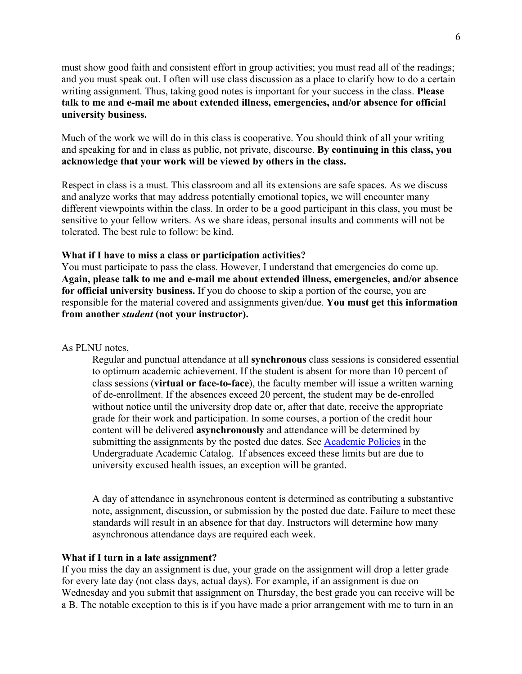must show good faith and consistent effort in group activities; you must read all of the readings; and you must speak out. I often will use class discussion as a place to clarify how to do a certain writing assignment. Thus, taking good notes is important for your success in the class. **Please talk to me and e-mail me about extended illness, emergencies, and/or absence for official university business.**

Much of the work we will do in this class is cooperative. You should think of all your writing and speaking for and in class as public, not private, discourse. **By continuing in this class, you acknowledge that your work will be viewed by others in the class.**

Respect in class is a must. This classroom and all its extensions are safe spaces. As we discuss and analyze works that may address potentially emotional topics, we will encounter many different viewpoints within the class. In order to be a good participant in this class, you must be sensitive to your fellow writers. As we share ideas, personal insults and comments will not be tolerated. The best rule to follow: be kind.

#### **What if I have to miss a class or participation activities?**

You must participate to pass the class. However, I understand that emergencies do come up. **Again, please talk to me and e-mail me about extended illness, emergencies, and/or absence for official university business.** If you do choose to skip a portion of the course, you are responsible for the material covered and assignments given/due. **You must get this information from another** *student* **(not your instructor).** 

#### As PLNU notes,

Regular and punctual attendance at all **synchronous** class sessions is considered essential to optimum academic achievement. If the student is absent for more than 10 percent of class sessions (**virtual or face-to-face**), the faculty member will issue a written warning of de-enrollment. If the absences exceed 20 percent, the student may be de-enrolled without notice until the university drop date or, after that date, receive the appropriate grade for their work and participation. In some courses, a portion of the credit hour content will be delivered **asynchronously** and attendance will be determined by submitting the assignments by the posted due dates. See **Academic Policies** in the Undergraduate Academic Catalog. If absences exceed these limits but are due to university excused health issues, an exception will be granted.

A day of attendance in asynchronous content is determined as contributing a substantive note, assignment, discussion, or submission by the posted due date. Failure to meet these standards will result in an absence for that day. Instructors will determine how many asynchronous attendance days are required each week.

#### **What if I turn in a late assignment?**

If you miss the day an assignment is due, your grade on the assignment will drop a letter grade for every late day (not class days, actual days). For example, if an assignment is due on Wednesday and you submit that assignment on Thursday, the best grade you can receive will be a B. The notable exception to this is if you have made a prior arrangement with me to turn in an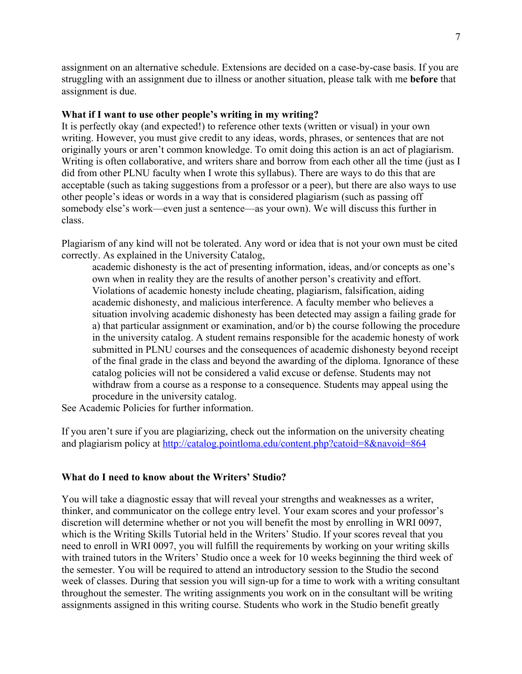assignment on an alternative schedule. Extensions are decided on a case-by-case basis. If you are struggling with an assignment due to illness or another situation, please talk with me **before** that assignment is due.

### **What if I want to use other people's writing in my writing?**

It is perfectly okay (and expected!) to reference other texts (written or visual) in your own writing. However, you must give credit to any ideas, words, phrases, or sentences that are not originally yours or aren't common knowledge. To omit doing this action is an act of plagiarism. Writing is often collaborative, and writers share and borrow from each other all the time (just as I did from other PLNU faculty when I wrote this syllabus). There are ways to do this that are acceptable (such as taking suggestions from a professor or a peer), but there are also ways to use other people's ideas or words in a way that is considered plagiarism (such as passing off somebody else's work—even just a sentence—as your own). We will discuss this further in class.

Plagiarism of any kind will not be tolerated. Any word or idea that is not your own must be cited correctly. As explained in the University Catalog,

academic dishonesty is the act of presenting information, ideas, and/or concepts as one's own when in reality they are the results of another person's creativity and effort. Violations of academic honesty include cheating, plagiarism, falsification, aiding academic dishonesty, and malicious interference. A faculty member who believes a situation involving academic dishonesty has been detected may assign a failing grade for a) that particular assignment or examination, and/or b) the course following the procedure in the university catalog. A student remains responsible for the academic honesty of work submitted in PLNU courses and the consequences of academic dishonesty beyond receipt of the final grade in the class and beyond the awarding of the diploma. Ignorance of these catalog policies will not be considered a valid excuse or defense. Students may not withdraw from a course as a response to a consequence. Students may appeal using the procedure in the university catalog.

See Academic Policies for further information.

If you aren't sure if you are plagiarizing, check out the information on the university cheating and plagiarism policy at http://catalog.pointloma.edu/content.php?catoid=8&navoid=864

#### **What do I need to know about the Writers' Studio?**

You will take a diagnostic essay that will reveal your strengths and weaknesses as a writer, thinker, and communicator on the college entry level. Your exam scores and your professor's discretion will determine whether or not you will benefit the most by enrolling in WRI 0097, which is the Writing Skills Tutorial held in the Writers' Studio. If your scores reveal that you need to enroll in WRI 0097, you will fulfill the requirements by working on your writing skills with trained tutors in the Writers' Studio once a week for 10 weeks beginning the third week of the semester. You will be required to attend an introductory session to the Studio the second week of classes. During that session you will sign-up for a time to work with a writing consultant throughout the semester. The writing assignments you work on in the consultant will be writing assignments assigned in this writing course. Students who work in the Studio benefit greatly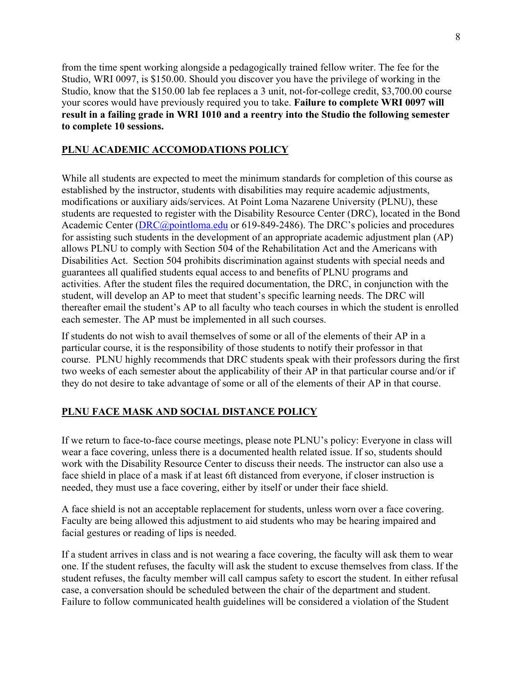from the time spent working alongside a pedagogically trained fellow writer. The fee for the Studio, WRI 0097, is \$150.00. Should you discover you have the privilege of working in the Studio, know that the \$150.00 lab fee replaces a 3 unit, not-for-college credit, \$3,700.00 course your scores would have previously required you to take. **Failure to complete WRI 0097 will result in a failing grade in WRI 1010 and a reentry into the Studio the following semester to complete 10 sessions.**

# **PLNU ACADEMIC ACCOMODATIONS POLICY**

While all students are expected to meet the minimum standards for completion of this course as established by the instructor, students with disabilities may require academic adjustments, modifications or auxiliary aids/services. At Point Loma Nazarene University (PLNU), these students are requested to register with the Disability Resource Center (DRC), located in the Bond Academic Center (DRC@pointloma.edu or 619-849-2486). The DRC's policies and procedures for assisting such students in the development of an appropriate academic adjustment plan (AP) allows PLNU to comply with Section 504 of the Rehabilitation Act and the Americans with Disabilities Act. Section 504 prohibits discrimination against students with special needs and guarantees all qualified students equal access to and benefits of PLNU programs and activities. After the student files the required documentation, the DRC, in conjunction with the student, will develop an AP to meet that student's specific learning needs. The DRC will thereafter email the student's AP to all faculty who teach courses in which the student is enrolled each semester. The AP must be implemented in all such courses.

If students do not wish to avail themselves of some or all of the elements of their AP in a particular course, it is the responsibility of those students to notify their professor in that course. PLNU highly recommends that DRC students speak with their professors during the first two weeks of each semester about the applicability of their AP in that particular course and/or if they do not desire to take advantage of some or all of the elements of their AP in that course.

# **PLNU FACE MASK AND SOCIAL DISTANCE POLICY**

If we return to face-to-face course meetings, please note PLNU's policy: Everyone in class will wear a face covering, unless there is a documented health related issue. If so, students should work with the Disability Resource Center to discuss their needs. The instructor can also use a face shield in place of a mask if at least 6ft distanced from everyone, if closer instruction is needed, they must use a face covering, either by itself or under their face shield.

A face shield is not an acceptable replacement for students, unless worn over a face covering. Faculty are being allowed this adjustment to aid students who may be hearing impaired and facial gestures or reading of lips is needed.

If a student arrives in class and is not wearing a face covering, the faculty will ask them to wear one. If the student refuses, the faculty will ask the student to excuse themselves from class. If the student refuses, the faculty member will call campus safety to escort the student. In either refusal case, a conversation should be scheduled between the chair of the department and student. Failure to follow communicated health guidelines will be considered a violation of the Student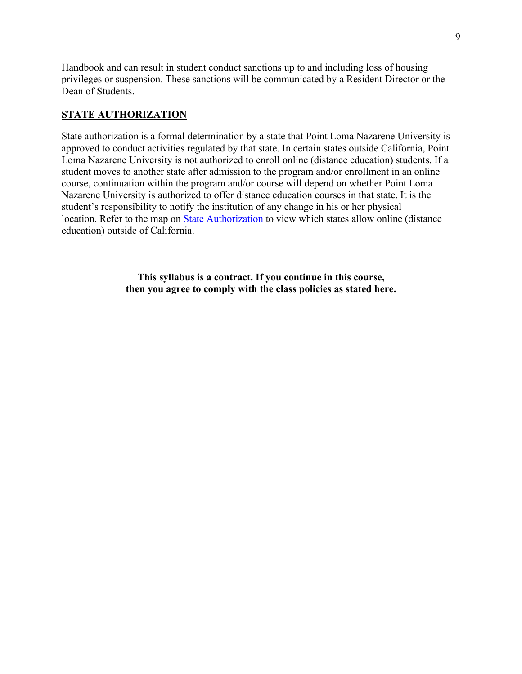Handbook and can result in student conduct sanctions up to and including loss of housing privileges or suspension. These sanctions will be communicated by a Resident Director or the Dean of Students.

## **STATE AUTHORIZATION**

State authorization is a formal determination by a state that Point Loma Nazarene University is approved to conduct activities regulated by that state. In certain states outside California, Point Loma Nazarene University is not authorized to enroll online (distance education) students. If a student moves to another state after admission to the program and/or enrollment in an online course, continuation within the program and/or course will depend on whether Point Loma Nazarene University is authorized to offer distance education courses in that state. It is the student's responsibility to notify the institution of any change in his or her physical location. Refer to the map on State Authorization to view which states allow online (distance education) outside of California.

> **This syllabus is a contract. If you continue in this course, then you agree to comply with the class policies as stated here.**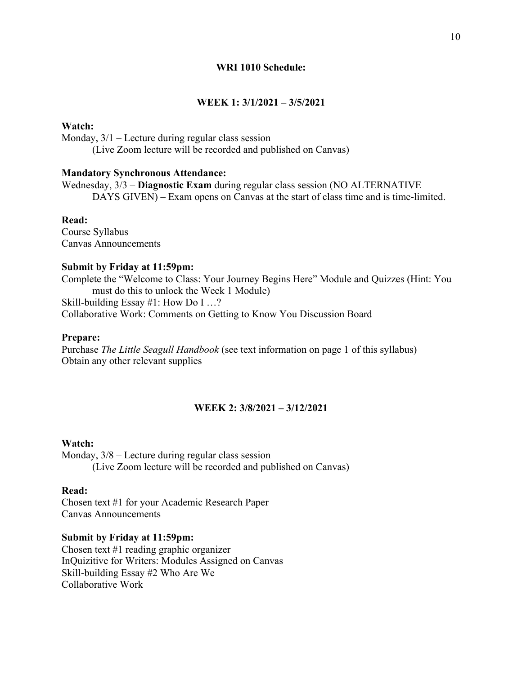#### **WRI 1010 Schedule:**

# **WEEK 1: 3/1/2021 – 3/5/2021**

#### **Watch:**

Monday, 3/1 – Lecture during regular class session

(Live Zoom lecture will be recorded and published on Canvas)

## **Mandatory Synchronous Attendance:**

Wednesday, 3/3 – **Diagnostic Exam** during regular class session (NO ALTERNATIVE DAYS GIVEN) – Exam opens on Canvas at the start of class time and is time-limited.

### **Read:**

Course Syllabus Canvas Announcements

#### **Submit by Friday at 11:59pm:**

Complete the "Welcome to Class: Your Journey Begins Here" Module and Quizzes (Hint: You must do this to unlock the Week 1 Module) Skill-building Essay #1: How Do I …? Collaborative Work: Comments on Getting to Know You Discussion Board

## **Prepare:**

Purchase *The Little Seagull Handbook* (see text information on page 1 of this syllabus) Obtain any other relevant supplies

## **WEEK 2: 3/8/2021 – 3/12/2021**

#### **Watch:**

Monday, 3/8 – Lecture during regular class session (Live Zoom lecture will be recorded and published on Canvas)

#### **Read:**

Chosen text #1 for your Academic Research Paper Canvas Announcements

#### **Submit by Friday at 11:59pm:**

Chosen text #1 reading graphic organizer InQuizitive for Writers: Modules Assigned on Canvas Skill-building Essay #2 Who Are We Collaborative Work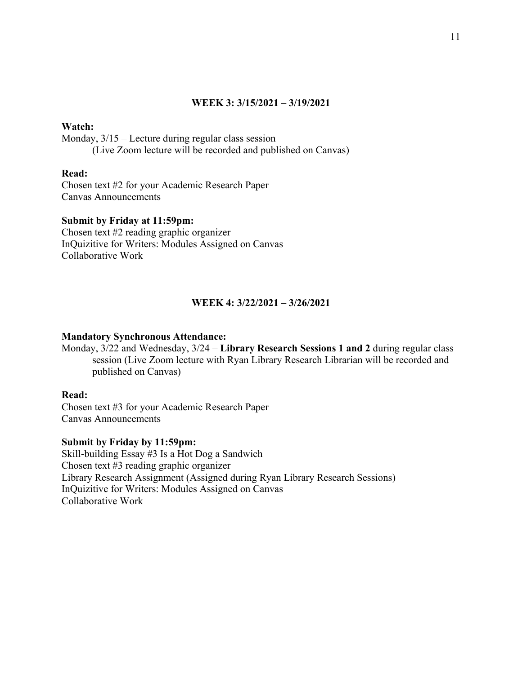## **WEEK 3: 3/15/2021 – 3/19/2021**

## **Watch:**

Monday, 3/15 – Lecture during regular class session (Live Zoom lecture will be recorded and published on Canvas)

#### **Read:**

Chosen text #2 for your Academic Research Paper Canvas Announcements

#### **Submit by Friday at 11:59pm:**

Chosen text #2 reading graphic organizer InQuizitive for Writers: Modules Assigned on Canvas Collaborative Work

## **WEEK 4: 3/22/2021 – 3/26/2021**

#### **Mandatory Synchronous Attendance:**

Monday, 3/22 and Wednesday, 3/24 – **Library Research Sessions 1 and 2** during regular class session (Live Zoom lecture with Ryan Library Research Librarian will be recorded and published on Canvas)

## **Read:**

Chosen text #3 for your Academic Research Paper Canvas Announcements

## **Submit by Friday by 11:59pm:**

Skill-building Essay #3 Is a Hot Dog a Sandwich Chosen text #3 reading graphic organizer Library Research Assignment (Assigned during Ryan Library Research Sessions) InQuizitive for Writers: Modules Assigned on Canvas Collaborative Work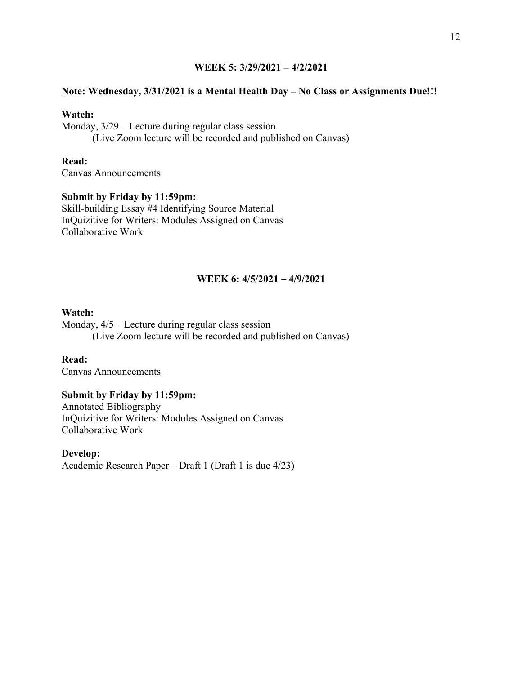## **WEEK 5: 3/29/2021 – 4/2/2021**

## **Note: Wednesday, 3/31/2021 is a Mental Health Day – No Class or Assignments Due!!!**

## **Watch:**

Monday, 3/29 – Lecture during regular class session (Live Zoom lecture will be recorded and published on Canvas)

**Read:**  Canvas Announcements

## **Submit by Friday by 11:59pm:**

Skill-building Essay #4 Identifying Source Material InQuizitive for Writers: Modules Assigned on Canvas Collaborative Work

## **WEEK 6: 4/5/2021 – 4/9/2021**

## **Watch:**

Monday, 4/5 – Lecture during regular class session (Live Zoom lecture will be recorded and published on Canvas)

**Read:**  Canvas Announcements

## **Submit by Friday by 11:59pm:**

Annotated Bibliography InQuizitive for Writers: Modules Assigned on Canvas Collaborative Work

**Develop:** Academic Research Paper – Draft 1 (Draft 1 is due 4/23)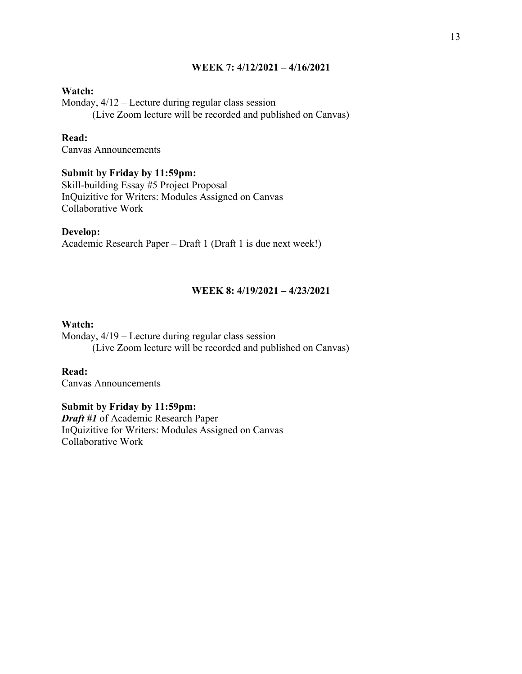## **WEEK 7: 4/12/2021 – 4/16/2021**

#### **Watch:**

Monday, 4/12 – Lecture during regular class session (Live Zoom lecture will be recorded and published on Canvas)

## **Read:**

Canvas Announcements

### **Submit by Friday by 11:59pm:**

Skill-building Essay #5 Project Proposal InQuizitive for Writers: Modules Assigned on Canvas Collaborative Work

#### **Develop:**

Academic Research Paper – Draft 1 (Draft 1 is due next week!)

## **WEEK 8: 4/19/2021 – 4/23/2021**

## **Watch:**

Monday, 4/19 – Lecture during regular class session (Live Zoom lecture will be recorded and published on Canvas)

# **Read:**

Canvas Announcements

## **Submit by Friday by 11:59pm:**

*Draft #1* of Academic Research Paper InQuizitive for Writers: Modules Assigned on Canvas Collaborative Work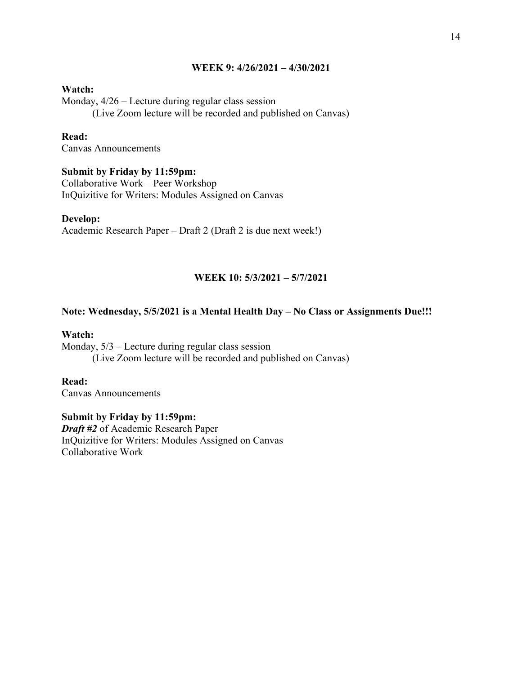## **WEEK 9: 4/26/2021 – 4/30/2021**

#### **Watch:**

Monday, 4/26 – Lecture during regular class session (Live Zoom lecture will be recorded and published on Canvas)

## **Read:**

Canvas Announcements

#### **Submit by Friday by 11:59pm:**

Collaborative Work – Peer Workshop InQuizitive for Writers: Modules Assigned on Canvas

### **Develop:**

Academic Research Paper – Draft 2 (Draft 2 is due next week!)

## **WEEK 10: 5/3/2021 – 5/7/2021**

#### **Note: Wednesday, 5/5/2021 is a Mental Health Day – No Class or Assignments Due!!!**

#### **Watch:**

Monday, 5/3 – Lecture during regular class session (Live Zoom lecture will be recorded and published on Canvas)

# **Read:**

Canvas Announcements

#### **Submit by Friday by 11:59pm:**

*Draft #2* of Academic Research Paper InQuizitive for Writers: Modules Assigned on Canvas Collaborative Work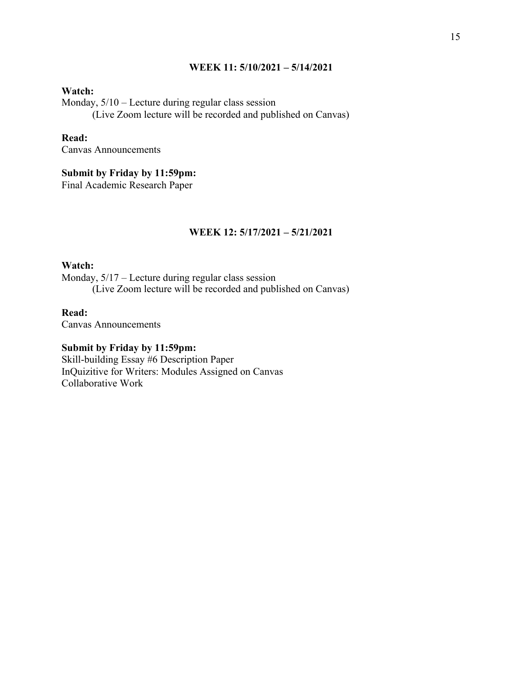## **WEEK 11: 5/10/2021 – 5/14/2021**

## **Watch:**

Monday, 5/10 – Lecture during regular class session (Live Zoom lecture will be recorded and published on Canvas)

# **Read:**

Canvas Announcements

## **Submit by Friday by 11:59pm:**

Final Academic Research Paper

## **WEEK 12: 5/17/2021 – 5/21/2021**

#### **Watch:**

Monday, 5/17 – Lecture during regular class session (Live Zoom lecture will be recorded and published on Canvas)

#### **Read:**

Canvas Announcements

## **Submit by Friday by 11:59pm:**

Skill-building Essay #6 Description Paper InQuizitive for Writers: Modules Assigned on Canvas Collaborative Work